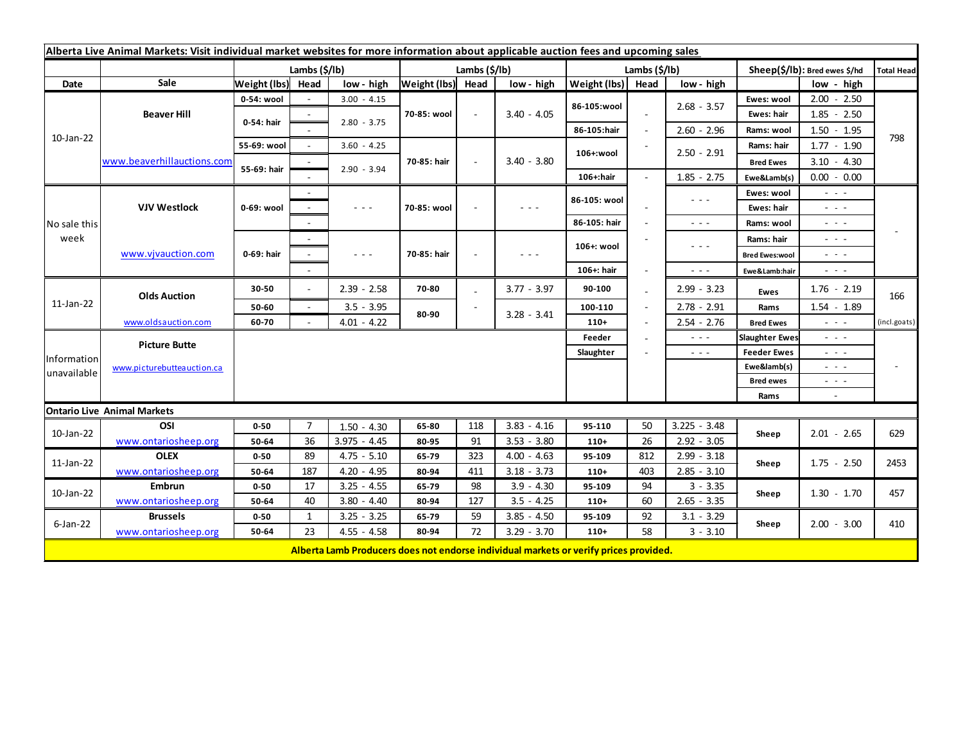| Alberta Live Animal Markets: Visit individual market websites for more information about applicable auction fees and upcoming sales |                                                    |               |                |                                                                                       |                   |        |               |               |                      |                      |                               |                      |                   |
|-------------------------------------------------------------------------------------------------------------------------------------|----------------------------------------------------|---------------|----------------|---------------------------------------------------------------------------------------|-------------------|--------|---------------|---------------|----------------------|----------------------|-------------------------------|----------------------|-------------------|
|                                                                                                                                     |                                                    | Lambs (\$/lb) |                |                                                                                       | Lambs (\$/lb)     |        |               | Lambs (\$/lb) |                      |                      | Sheep(\$/lb): Bred ewes \$/hd |                      | <b>Total Head</b> |
| Date                                                                                                                                | Sale                                               | Weight (lbs)  | Head           | low - high                                                                            | Weight (lbs) Head |        | low - high    | Weight (lbs)  | Head                 | low - high           |                               | low - high           |                   |
| 10-Jan-22                                                                                                                           | <b>Beaver Hill</b>                                 | 0-54: wool    |                | $3.00 - 4.15$                                                                         | 70-85: wool       | $\sim$ | $3.40 - 4.05$ | 86-105:wool   |                      | $2.68 - 3.57$        | Ewes: wool                    | $2.00 - 2.50$        | 798               |
|                                                                                                                                     |                                                    | 0-54: hair    |                | $2.80 - 3.75$                                                                         |                   |        |               |               |                      |                      | Ewes: hair                    | $1.85 - 2.50$        |                   |
|                                                                                                                                     |                                                    |               |                |                                                                                       |                   |        |               | 86-105:hair   |                      | $2.60 - 2.96$        | Rams: wool                    | $1.50 - 1.95$        |                   |
|                                                                                                                                     | www.beaverhillauctions.com                         | 55-69: wool   |                | $3.60 - 4.25$                                                                         | 70-85: hair       |        | $3.40 - 3.80$ | 106+:wool     |                      | $2.50 - 2.91$        | Rams: hair                    | $1.77 - 1.90$        |                   |
|                                                                                                                                     |                                                    | 55-69: hair   |                |                                                                                       |                   |        |               |               |                      |                      | <b>Bred Ewes</b>              | $3.10 - 4.30$        |                   |
|                                                                                                                                     |                                                    |               |                | $2.90 - 3.94$                                                                         |                   |        |               | 106+:hair     |                      | $1.85 - 2.75$        | Ewe&Lamb(s)                   | $0.00 - 0.00$        |                   |
| No sale this<br>week                                                                                                                | <b>VJV Westlock</b>                                | 0-69: wool    |                |                                                                                       | 70-85: wool       |        | $  -$         | 86-105: wool  |                      | $\sim$ $\sim$ $\sim$ | Ewes: wool                    | $\sim$ $\sim$ $\sim$ |                   |
|                                                                                                                                     |                                                    |               |                | $\sim$ $\sim$ $\sim$                                                                  |                   |        |               |               |                      |                      | Ewes: hair                    | - - -                |                   |
|                                                                                                                                     |                                                    |               |                |                                                                                       |                   |        |               | 86-105: hair  |                      | $\sim$ $\sim$ $\sim$ | Rams: wool                    | $\sim$ 100 $\pm$     |                   |
|                                                                                                                                     | www.vjvauction.com                                 | 0-69: hair    |                |                                                                                       | 70-85: hair       |        | $  -$         | 106+: wool    |                      | $  -$                | Rams: hair                    | $ -$                 |                   |
|                                                                                                                                     |                                                    |               |                | $\sim$ $\sim$ $\sim$                                                                  |                   |        |               |               |                      |                      | <b>Bred Ewes:wool</b>         | - - -                |                   |
|                                                                                                                                     |                                                    |               |                |                                                                                       |                   |        |               | 106+: hair    |                      | $\sim$ $\sim$ $\sim$ | Ewe&Lamb:hair                 | - - -                |                   |
| $11$ -Jan-22                                                                                                                        | <b>Olds Auction</b>                                | 30-50         | $\sim$         | $2.39 - 2.58$                                                                         | 70-80             |        | $3.77 - 3.97$ | 90-100        |                      | $2.99 - 3.23$        | <b>Ewes</b>                   | $1.76 - 2.19$        | 166               |
|                                                                                                                                     |                                                    | 50-60         | $\sim$         | $3.5 - 3.95$                                                                          |                   |        |               | 100-110       |                      | $2.78 - 2.91$        | Rams                          | $1.54 - 1.89$        |                   |
|                                                                                                                                     | www.oldsauction.com                                | 60-70         |                | $4.01 - 4.22$                                                                         | 80-90             |        | $3.28 - 3.41$ | $110+$        |                      | $2.54 - 2.76$        | <b>Bred Ewes</b>              | $\sim$ $\sim$ $\sim$ | (incl.goats)      |
| Information<br>unavailable                                                                                                          | <b>Picture Butte</b><br>www.picturebutteauction.ca |               |                |                                                                                       |                   |        |               | Feeder        |                      | $  -$                | <b>Slaughter Ewes</b>         | - - -                |                   |
|                                                                                                                                     |                                                    |               |                |                                                                                       |                   |        | Slaughter     |               | $\sim$ $\sim$ $\sim$ | <b>Feeder Ewes</b>   | - - -                         |                      |                   |
|                                                                                                                                     |                                                    |               |                |                                                                                       |                   |        |               |               |                      | Ewe&lamb(s)          | $  -$                         |                      |                   |
|                                                                                                                                     |                                                    |               |                |                                                                                       |                   |        |               |               |                      |                      | <b>Bred ewes</b>              | $ -$                 |                   |
|                                                                                                                                     |                                                    |               |                |                                                                                       |                   |        |               |               |                      |                      | Rams                          | $\sim$               |                   |
| <b>Ontario Live Animal Markets</b>                                                                                                  |                                                    |               |                |                                                                                       |                   |        |               |               |                      |                      |                               |                      |                   |
| 10-Jan-22                                                                                                                           | OSI                                                | $0 - 50$      | $\overline{7}$ | $1.50 - 4.30$                                                                         | 65-80             | 118    | $3.83 - 4.16$ | 95-110        | 50                   | $3.225 - 3.48$       | Sheep                         | $2.01 - 2.65$        | 629               |
|                                                                                                                                     | www.ontariosheep.org                               | 50-64         | 36             | $3.975 - 4.45$                                                                        | 80-95             | 91     | $3.53 - 3.80$ | $110+$        | 26                   | $2.92 - 3.05$        |                               |                      |                   |
| 11-Jan-22                                                                                                                           | <b>OLEX</b>                                        | $0 - 50$      | 89             | $4.75 - 5.10$                                                                         | 65-79             | 323    | $4.00 - 4.63$ | 95-109        | 812                  | $2.99 - 3.18$        | Sheep                         | $1.75 - 2.50$        | 2453              |
|                                                                                                                                     | www.ontariosheep.org                               | 50-64         | 187            | $4.20 - 4.95$                                                                         | 80-94             | 411    | $3.18 - 3.73$ | $110+$        | 403                  | $2.85 - 3.10$        |                               |                      |                   |
| 10-Jan-22                                                                                                                           | <b>Embrun</b>                                      | $0 - 50$      | 17             | $3.25 - 4.55$                                                                         | 65-79             | 98     | $3.9 - 4.30$  | 95-109        | 94                   | $3 - 3.35$           | Sheep                         | $1.30 - 1.70$        | 457               |
|                                                                                                                                     | www.ontariosheep.org                               | 50-64         | 40             | $3.80 - 4.40$                                                                         | 80-94             | 127    | $3.5 - 4.25$  | $110+$        | 60                   | $2.65 - 3.35$        |                               |                      |                   |
| $6$ -Jan-22                                                                                                                         | <b>Brussels</b>                                    | $0 - 50$      | $\mathbf{1}$   | $3.25 - 3.25$                                                                         | 65-79             | 59     | $3.85 - 4.50$ | 95-109        | 92                   | $3.1 - 3.29$         | Sheep                         | $2.00 - 3.00$        | 410               |
|                                                                                                                                     | www.ontariosheep.org                               | 50-64         | 23             | $4.55 - 4.58$                                                                         | 80-94             | 72     | $3.29 - 3.70$ | $110+$        | 58                   | $3 - 3.10$           |                               |                      |                   |
|                                                                                                                                     |                                                    |               |                | Alberta Lamb Producers does not endorse individual markets or verify prices provided. |                   |        |               |               |                      |                      |                               |                      |                   |